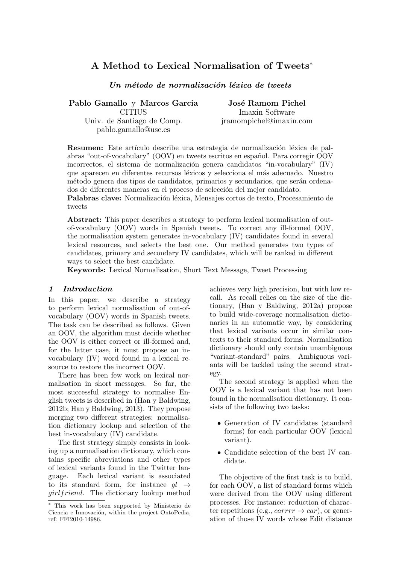# A Method to Lexical Normalisation of Tweets<sup>∗</sup>

 $Un$  método de normalización léxica de tweets

| Pablo Gamallo y Marcos Garcia | José Ramom Pichel       |  |
|-------------------------------|-------------------------|--|
| <b>CITIUS</b>                 | Imaxin Software         |  |
| Univ. de Santiago de Comp.    | jramompichel@imaxin.com |  |
| pablo.gamallo@usc.es          |                         |  |

**Resumen:** Este artículo describe una estrategia de normalización léxica de palabras "out-of-vocabulary" (OOV) en tweets escritos en espa˜nol. Para corregir OOV incorrectos, el sistema de normalización genera candidatos "in-vocabulary" (IV) que aparecen en diferentes recursos léxicos y selecciona el más adecuado. Nuestro método genera dos tipos de candidatos, primarios y secundarios, que serán ordenados de diferentes maneras en el proceso de selección del mejor candidato.

Palabras clave: Normalización léxica, Mensajes cortos de texto, Procesamiento de tweets

Abstract: This paper describes a strategy to perform lexical normalisation of outof-vocabulary (OOV) words in Spanish tweets. To correct any ill-formed OOV, the normalisation system generates in-vocabulary (IV) candidates found in several lexical resources, and selects the best one. Our method generates two types of candidates, primary and secondary IV candidates, which will be ranked in different ways to select the best candidate.

Keywords: Lexical Normalisation, Short Text Message, Tweet Processing

#### 1 Introduction

In this paper, we describe a strategy to perform lexical normalisation of out-ofvocabulary (OOV) words in Spanish tweets. The task can be described as follows. Given an OOV, the algorithm must decide whether the OOV is either correct or ill-formed and, for the latter case, it must propose an invocabulary (IV) word found in a lexical resource to restore the incorrect OOV.

There has been few work on lexical normalisation in short messages. So far, the most successful strategy to normalise English tweets is described in (Han y Baldwing, 2012b; Han y Baldwing, 2013). They propose merging two different strategies: normalisation dictionary lookup and selection of the best in-vocabulary (IV) candidate.

The first strategy simply consists in looking up a normalisation dictionary, which contains specific abreviations and other types of lexical variants found in the Twitter language. Each lexical variant is associated to its standard form, for instance  $ql \rightarrow$ girlfriend. The dictionary lookup method achieves very high precision, but with low recall. As recall relies on the size of the dictionary, (Han y Baldwing, 2012a) propose to build wide-coverage normalisation dictionaries in an automatic way, by considering that lexical variants occur in similar contexts to their standard forms. Normalisation dictionary should only contain unambiguous "variant-standard" pairs. Ambiguous variants will be tackled using the second strategy.

The second strategy is applied when the OOV is a lexical variant that has not been found in the normalisation dictionary. It consists of the following two tasks:

- Generation of IV candidates (standard forms) for each particular OOV (lexical variant).
- Candidate selection of the best IV candidate.

The objective of the first task is to build, for each OOV, a list of standard forms which were derived from the OOV using different processes. For instance: reduction of character repetitions (e.g.,  $carrrr \rightarrow car$ ), or generation of those IV words whose Edit distance

<sup>∗</sup> This work has been supported by Ministerio de Ciencia e Innovación, within the project OntoPedia, ref: FFI2010-14986.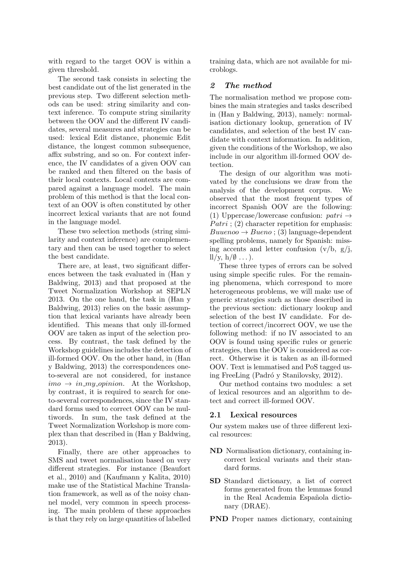with regard to the target OOV is within a given threshold.

The second task consists in selecting the best candidate out of the list generated in the previous step. Two different selection methods can be used: string similarity and context inference. To compute string similarity between the OOV and the different IV candidates, several measures and strategies can be used: lexical Edit distance, phonemic Edit distance, the longest common subsequence, affix substring, and so on. For context inference, the IV candidates of a given OOV can be ranked and then filtered on the basis of their local contexts. Local contexts are compared against a language model. The main problem of this method is that the local context of an OOV is often constituted by other incorrect lexical variants that are not found in the language model.

These two selection methods (string similarity and context inference) are complementary and then can be used together to select the best candidate.

There are, at least, two significant differences between the task evaluated in (Han y Baldwing, 2013) and that proposed at the Tweet Normalization Workshop at SEPLN 2013. On the one hand, the task in (Han y Baldwing, 2013) relies on the basic assumption that lexical variants have already been identified. This means that only ill-formed OOV are taken as input of the selection process. By contrast, the task defined by the Workshop guidelines includes the detection of ill-formed OOV. On the other hand, in (Han y Baldwing, 2013) the correspondences oneto-several are not considered, for instance  $\lim_{\theta} \rightarrow \lim_{m \to \infty}$  *in my opinion*. At the Workshop, by contrast, it is required to search for oneto-several correspondences, since the IV standard forms used to correct OOV can be multiwords. In sum, the task defined at the Tweet Normalization Workshop is more complex than that described in (Han y Baldwing, 2013).

Finally, there are other approaches to SMS and tweet normalisation based on very different strategies. For instance (Beaufort et al., 2010) and (Kaufmann y Kalita, 2010) make use of the Statistical Machine Translation framework, as well as of the noisy channel model, very common in speech processing. The main problem of these approaches is that they rely on large quantities of labelled training data, which are not available for microblogs.

### 2 The method

The normalisation method we propose combines the main strategies and tasks described in (Han y Baldwing, 2013), namely: normalisation dictionary lookup, generation of IV candidates, and selection of the best IV candidate with context information. In addition, given the conditions of the Workshop, we also include in our algorithm ill-formed OOV detection.

The design of our algorithm was motivated by the conclusions we draw from the analysis of the development corpus. We observed that the most frequent types of incorrect Spanish OOV are the following: (1) Uppercase/lowercase confusion:  $patri \rightarrow$  $Patri$ ; (2) character repetition for emphasis:  $Buuenoo \rightarrow Bueno$ ; (3) language-dependent spelling problems, namely for Spanish: missing accents and letter confusion  $(v/b, g/j,$  $\frac{ll}{v}$ ,  $h/\emptyset$  ...).

These three types of errors can be solved using simple specific rules. For the remaining phenomena, which correspond to more heterogeneous problems, we will make use of generic strategies such as those described in the previous section: dictionary lookup and selection of the best IV candidate. For detection of correct/incorrect OOV, we use the following method: if no IV associated to an OOV is found using specific rules or generic strategies, then the OOV is considered as correct. Otherwise it is taken as an ill-formed OOV. Text is lemmatised and PoS tagged using FreeLing (Padró y Stanilovsky, 2012).

Our method contains two modules: a set of lexical resources and an algorithm to detect and correct ill-formed OOV.

#### 2.1 Lexical resources

Our system makes use of three different lexical resources:

- ND Normalisation dictionary, containing incorrect lexical variants and their standard forms.
- SD Standard dictionary, a list of correct forms generated from the lemmas found in the Real Academia Española dictionary (DRAE).

PND Proper names dictionary, containing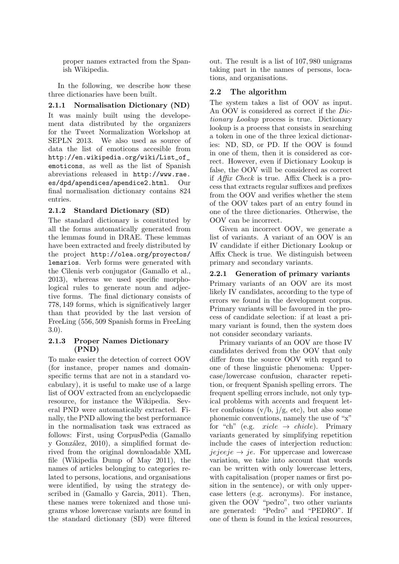proper names extracted from the Spanish Wikipedia.

In the following, we describe how these three dictionaries have been built.

2.1.1 Normalisation Dictionary (ND) It was mainly built using the developement data distributed by the organizers for the Tweet Normalization Workshop at SEPLN 2013. We also used as source of data the list of emoticons accesible from http://en.wikipedia.org/wiki/List\_of\_ emoticons, as well as the list of Spanish abreviations released in http://www.rae. es/dpd/apendices/apendice2.html. Our final normalisation dictionary contains 824 entries.

### 2.1.2 Standard Dictionary (SD)

The standard dictionary is constituted by all the forms automatically generated from the lemmas found in DRAE. These lemmas have been extracted and freely distributed by the project http://olea.org/proyectos/ lemarios. Verb forms were generated with the Cilenis verb conjugator (Gamallo et al., 2013), whereas we used specific morphological rules to generate noun and adjective forms. The final dictionary consists of 778, 149 forms, which is significatively larger than that provided by the last version of FreeLing (556, 509 Spanish forms in FreeLing 3.0).

### 2.1.3 Proper Names Dictionary (PND)

To make easier the detection of correct OOV (for instance, proper names and domainspecific terms that are not in a standard vocabulary), it is useful to make use of a large list of OOV extracted from an enclyclopaedic resource, for instance the Wikipedia. Several PND were automatically extracted. Finally, the PND allowing the best performance in the normalisation task was extraced as follows: First, using CorpusPedia (Gamallo y González, 2010), a simplified format derived from the original downloadable XML file (Wikipedia Dump of May 2011), the names of articles belonging to categories related to persons, locations, and organisations were identified, by using the strategy described in (Gamallo y Garcia, 2011). Then, these names were tokenized and those unigrams whose lowercase variants are found in the standard dictionary (SD) were filtered out. The result is a list of 107, 980 unigrams taking part in the names of persons, locations, and organisations.

# 2.2 The algorithm

The system takes a list of OOV as input. An OOV is considered as correct if the Dictionary Lookup process is true. Dictionary lookup is a process that consists in searching a token in one of the three lexical dictionaries: ND, SD, or PD. If the OOV is found in one of them, then it is considered as correct. However, even if Dictionary Lookup is false, the OOV will be considered as correct if Affix Check is true. Affix Check is a process that extracts regular suffixes and prefixes from the OOV and verifies whether the stem of the OOV takes part of an entry found in one of the three dictionaries. Otherwise, the OOV can be incorrect.

Given an incorrect OOV, we generate a list of variants. A variant of an OOV is an IV candidate if either Dictionary Lookup or Affix Check is true. We distinguish between primary and secondary variants.

# 2.2.1 Generation of primary variants

Primary variants of an OOV are its most likely IV candidates, according to the type of errors we found in the development corpus. Primary variants will be favoured in the process of candidate selection: if at least a primary variant is found, then the system does not consider secondary variants.

Primary variants of an OOV are those IV candidates derived from the OOV that only differ from the source OOV with regard to one of these linguistic phenomena: Uppercase/lowercase confusion, character repetition, or frequent Spanish spelling errors. The frequent spelling errors include, not only typical problems with accents and frequent letter confusions  $(v/b, j/g, etc)$ , but also some phonemic conventions, namely the use of "x" for "ch" (e.g.  $xicle \rightarrow chicken$ ). Primary variants generated by simplifying repetition include the cases of interjection reduction:  $iejee \rightarrow ie$ . For uppercase and lowercase variation, we take into account that words can be written with only lowercase letters, with capitalisation (proper names or first position in the sentence), or with only uppercase letters (e.g. acronyms). For instance, given the OOV "pedro", two other variants are generated: "Pedro" and "PEDRO". If one of them is found in the lexical resources,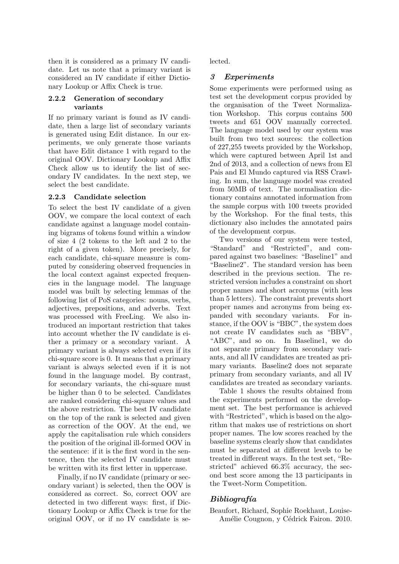then it is considered as a primary IV candidate. Let us note that a primary variant is considered an IV candidate if either Dictionary Lookup or Affix Check is true.

#### 2.2.2 Generation of secondary variants

If no primary variant is found as IV candidate, then a large list of secondary variants is generated using Edit distance. In our experiments, we only generate those variants that have Edit distance 1 with regard to the original OOV. Dictionary Lookup and Affix Check allow us to identify the list of secondary IV candidates. In the next step, we select the best candidate.

### 2.2.3 Candidate selection

To select the best IV candidate of a given OOV, we compare the local context of each candidate against a language model containing bigrams of tokens found within a window of size 4 (2 tokens to the left and 2 to the right of a given token). More precisely, for each candidate, chi-square measure is computed by considering observed frequencies in the local context against expected frequencies in the language model. The language model was built by selecting lemmas of the following list of PoS categories: nouns, verbs, adjectives, prepositions, and adverbs. Text was processed with FreeLing. We also introduced an important restriction that takes into account whether the IV candidate is either a primary or a secondary variant. A primary variant is always selected even if its chi-square score is 0. It means that a primary variant is always selected even if it is not found in the language model. By contrast, for secondary variants, the chi-square must be higher than 0 to be selected. Candidates are ranked considering chi-square values and the above restriction. The best IV candidate on the top of the rank is selected and given as correction of the OOV. At the end, we apply the capitalisation rule which considers the position of the original ill-formed OOV in the sentence: if it is the first word in the sentence, then the selected IV candidate must be written with its first letter in uppercase.

Finally, if no IV candidate (primary or secondary variant) is selected, then the OOV is considered as correct. So, correct OOV are detected in two different ways: first, if Dictionary Lookup or Affix Check is true for the original OOV, or if no IV candidate is selected.

## 3 Experiments

Some experiments were performed using as test set the development corpus provided by the organisation of the Tweet Normalization Workshop. This corpus contains 500 tweets and 651 OOV manually corrected. The language model used by our system was built from two text sources: the collection of 227,255 tweets provided by the Workshop, which were captured between April 1st and 2nd of 2013, and a collection of news from El Pais and El Mundo captured via RSS Crawling. In sum, the language model was created from 50MB of text. The normalisation dictionary contains annotated information from the sample corpus with 100 tweets provided by the Workshop. For the final tests, this dictionary also includes the annotated pairs of the development corpus.

Two versions of our system were tested, "Standard" and "Restricted", and compared against two baselines: "Baseline1" and "Baseline2". The standard version has been described in the previous section. The restricted version includes a constraint on short proper names and short acronyms (with less than 5 letters). The constraint prevents short proper names and acronyms from being expanded with secondary variants. For instance, if the OOV is "BBC", the system does not create IV candidates such as "BBV", "ABC", and so on. In Baseline1, we do not separate primary from secondary variants, and all IV candidates are treated as primary variants. Baseline2 does not separate primary from secondary variants, and all IV candidates are treated as secondary variants.

Table 1 shows the results obtained from the experiments performed on the development set. The best performance is achieved with "Restricted", which is based on the algorithm that makes use of restrictions on short proper names. The low scores reached by the baseline systems clearly show that candidates must be separated at different levels to be treated in different ways. In the test set, "Restricted" achieved 66.3% accuracy, the second best score among the 13 participants in the Tweet-Norm Competition.

# $Bibliografía$

Beaufort, Richard, Sophie Roekhaut, Louise-Amélie Cougnon, y Cédrick Fairon. 2010.